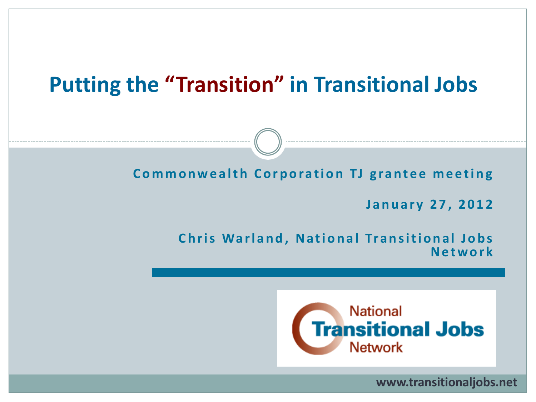# **Putting the "Transition" in Transitional Jobs**

**Commonwealth Corporation TJ grantee meeting** 

**J a n u a r y 2 7 , 2 0 1 2**

#### **Chris Warland, National Transitional Jobs N e t w o r k**



**www.transitionaljobs.net**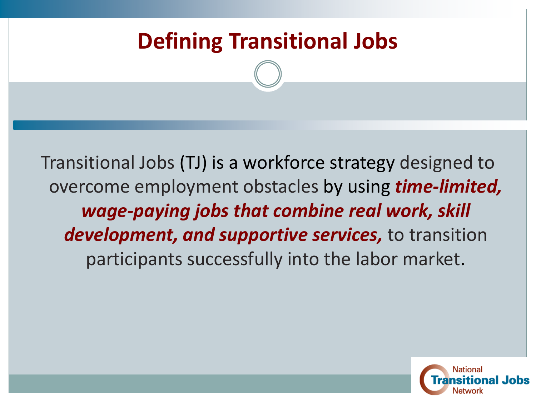# **Defining Transitional Jobs**

Transitional Jobs (TJ) is a workforce strategy designed to overcome employment obstacles by using *time-limited, wage-paying jobs that combine real work, skill development, and supportive services,* to transition participants successfully into the labor market.

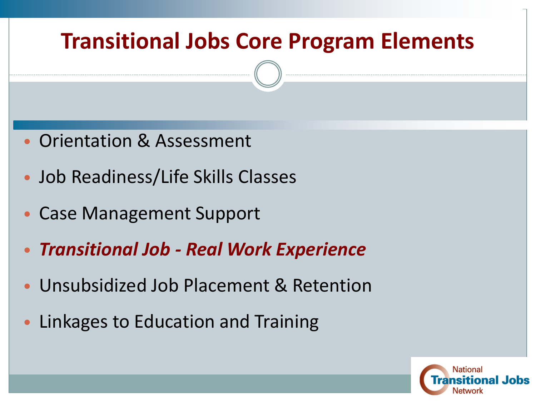# **Transitional Jobs Core Program Elements**

- Orientation & Assessment
- Job Readiness/Life Skills Classes
- Case Management Support
- *Transitional Job - Real Work Experience*
- Unsubsidized Job Placement & Retention
- Linkages to Education and Training

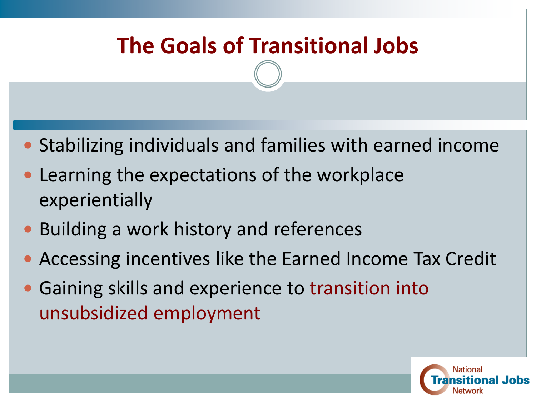# **The Goals of Transitional Jobs**

- Stabilizing individuals and families with earned income
- Learning the expectations of the workplace experientially
- Building a work history and references
- Accessing incentives like the Earned Income Tax Credit
- Gaining skills and experience to transition into unsubsidized employment

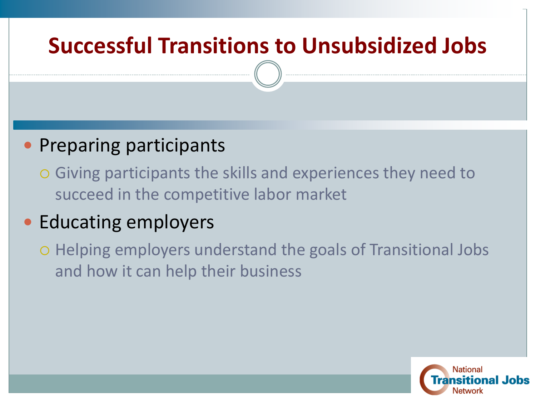# **Successful Transitions to Unsubsidized Jobs**

### **• Preparing participants**

 Giving participants the skills and experiences they need to succeed in the competitive labor market

## • Educating employers

 Helping employers understand the goals of Transitional Jobs and how it can help their business

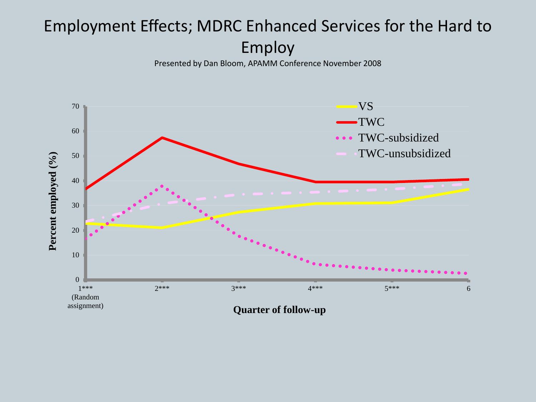### Employment Effects; MDRC Enhanced Services for the Hard to Employ

Presented by Dan Bloom, APAMM Conference November 2008

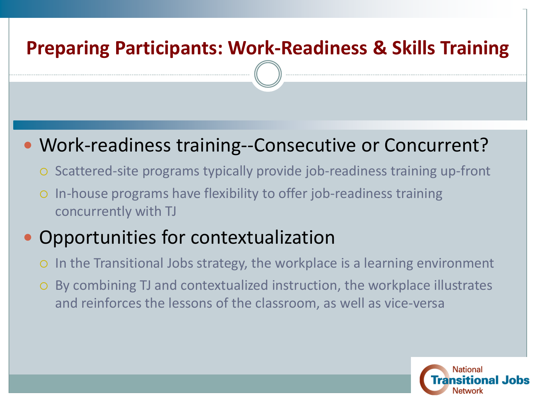### **Preparing Participants: Work-Readiness & Skills Training**

### Work-readiness training--Consecutive or Concurrent?

- Scattered-site programs typically provide job-readiness training up-front
- In-house programs have flexibility to offer job-readiness training concurrently with TJ

## Opportunities for contextualization

- o In the Transitional Jobs strategy, the workplace is a learning environment
- By combining TJ and contextualized instruction, the workplace illustrates and reinforces the lessons of the classroom, as well as vice-versa

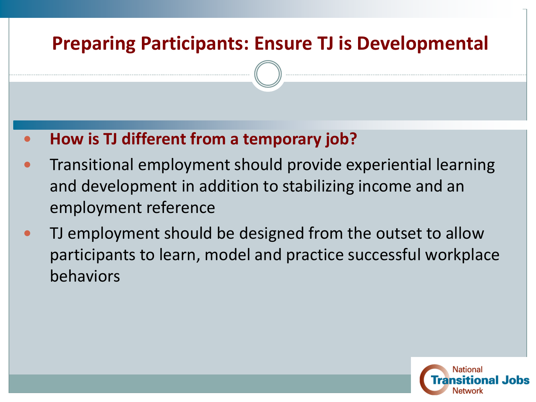### **Preparing Participants: Ensure TJ is Developmental**

#### **How is TJ different from a temporary job?**

- Transitional employment should provide experiential learning and development in addition to stabilizing income and an employment reference
- TJ employment should be designed from the outset to allow participants to learn, model and practice successful workplace behaviors

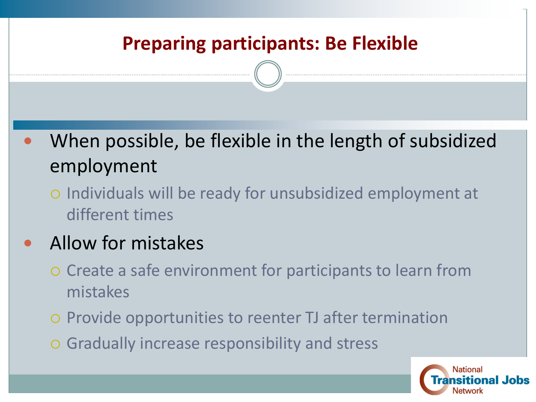### **Preparing participants: Be Flexible**

 When possible, be flexible in the length of subsidized employment

 Individuals will be ready for unsubsidized employment at different times

## Allow for mistakes

- Create a safe environment for participants to learn from mistakes
- o Provide opportunities to reenter TJ after termination
- Gradually increase responsibility and stress

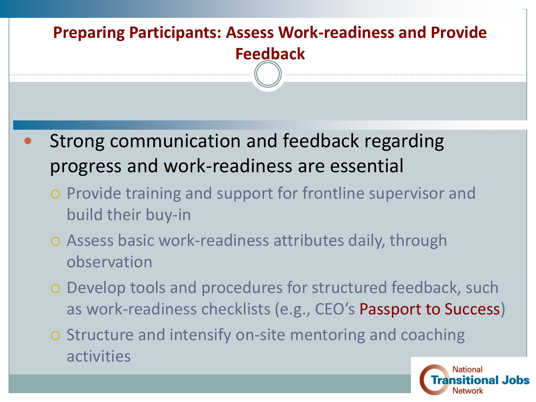# **Preparing Participants: Assess Work-readiness and Provide Feedback**

- Strong communication and feedback regarding progress and work-readiness are essential
	- o Provide training and support for frontline supervisor and build their buy-in
	- Assess basic work-readiness attributes daily, through observation
	- Develop tools and procedures for structured feedback, such as work-readiness checklists (e.g., CEO's Passport to Success)
	- o Structure and intensify on-site mentoring and coaching activities

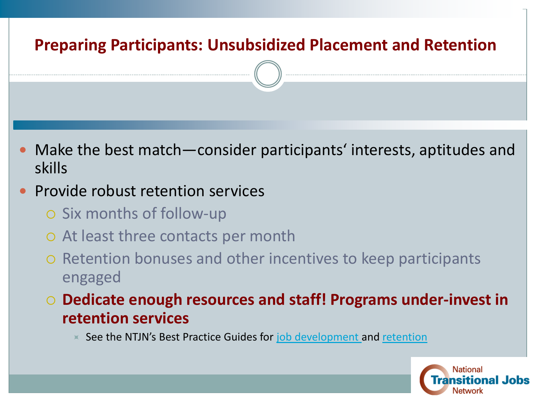# **Preparing Participants: Unsubsidized Placement and Retention** Make the best match—consider participants' interests, aptitudes and skills Provide robust retention services o Six months of follow-up At least three contacts per month o Retention bonuses and other incentives to keep participants engaged **Dedicate enough resources and staff! Programs under-invest in retention services**

 $\times$  See the NTJN's Best Practice Guides for [job development a](http://www.scribd.com/doc/58858612/Effective-Job-Development-Strategies-for-Working-with-the-Hardest-to-Employ)nd [retention](http://www.scribd.com/doc/59499220/Getting-Keeping-a-Job-Best-Practices-for-Employment-Retention-and-Advancement)

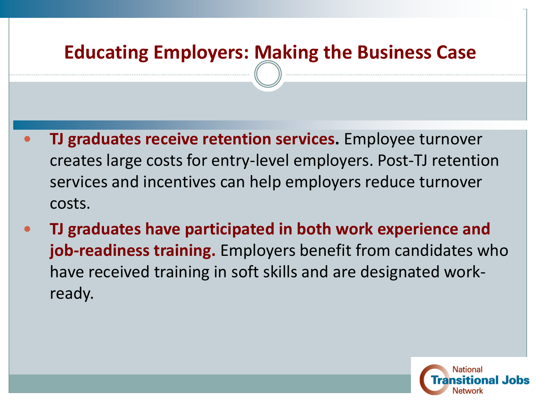### **Educating Employers: Making the Business Case**

- **TJ graduates receive retention services.** Employee turnover creates large costs for entry-level employers. Post-TJ retention services and incentives can help employers reduce turnover costs.
- **TJ graduates have participated in both work experience and job-readiness training.** Employers benefit from candidates who have received training in soft skills and are designated workready.

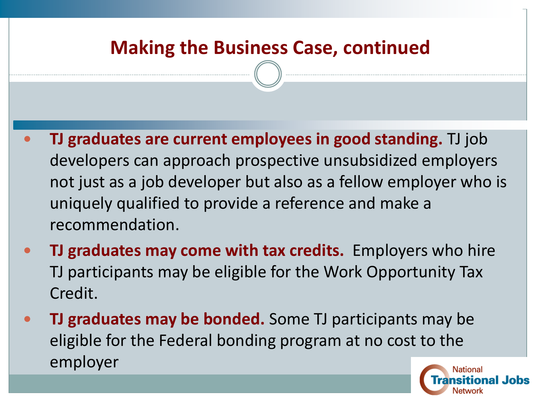### **Making the Business Case, continued**

- **TJ graduates are current employees in good standing.** TJ job developers can approach prospective unsubsidized employers not just as a job developer but also as a fellow employer who is uniquely qualified to provide a reference and make a recommendation.
- **TJ graduates may come with tax credits.** Employers who hire TJ participants may be eligible for the Work Opportunity Tax Credit.
- **TJ graduates may be bonded.** Some TJ participants may be eligible for the Federal bonding program at no cost to the employer

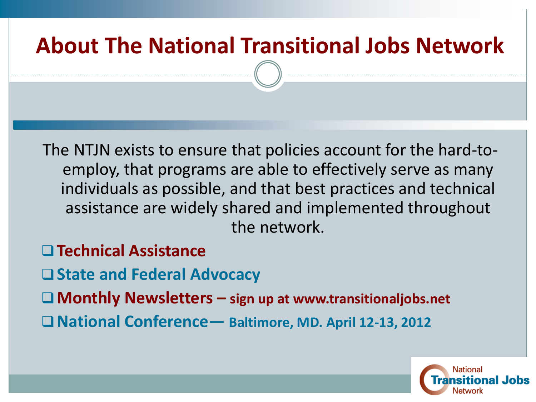# **About The National Transitional Jobs Network**

The NTJN exists to ensure that policies account for the hard-toemploy, that programs are able to effectively serve as many individuals as possible, and that best practices and technical assistance are widely shared and implemented throughout the network.

- **Technical Assistance**
- **State and Federal Advocacy**
- **Monthly Newsletters – sign up at www.transitionaljobs.net**
- **National Conference— Baltimore, MD. April 12-13, 2012**